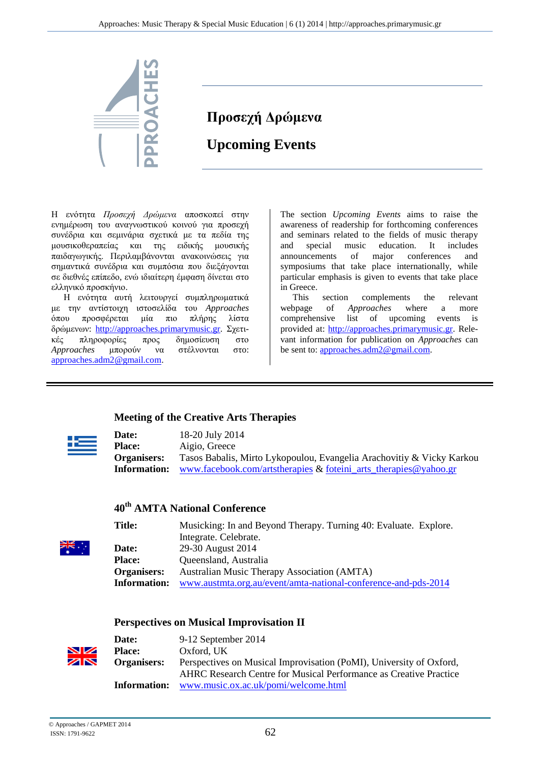

# **Προσεχή Δρώμενα Upcoming Events**

Η ενότητα *Προσεχή Δρώμενα* αποσκοπεί στην ενημέρωση του αναγνωστικού κοινού για προσεχή συνέδρια και σεμινάρια σχετικά με τα πεδία της μουσικοθεραπείας και της ειδικής μουσικής παιδαγωγικής. Περιλαμβάνονται ανακοινώσεις για σημαντικά συνέδρια και συμπόσια που διεξάγονται σε διεθνές επίπεδο, ενώ ιδιαίτερη έμφαση δίνεται στo ελληνικό προσκήνιο.

Η ενότητα αυτή λειτουργεί συμπληρωματικά με την αντίστοιχη ιστοσελίδα του *Approaches* όπου προσφέρεται μία πιο πλήρης λίστα δρώμενων: [http://approaches.primarymusic.gr.](http://approaches.primarymusic.gr/) Σχετικές πληροφορίες προς δημοσίευση στο *Approaches* μπορούν να στέλνονται στo: [approaches.adm2@gmail.com.](mailto:approaches.adm2@gmail.com)

The section *Upcoming Events* aims to raise the awareness of readership for forthcoming conferences and seminars related to the fields of music therapy and special music education. It includes announcements of major conferences and symposiums that take place internationally, while particular emphasis is given to events that take place in Greece.

This section complements the relevant webpage of *Approaches* where a more comprehensive list of upcoming events is provided at: [http://approaches.primarymusic.gr.](http://approaches.primarymusic.gr/) Relevant information for publication on *Approaches* can be sent to: [approaches.adm2@gmail.com.](mailto:approaches.adm2@gmail.com)

#### **Meeting of the Creative Arts Therapies**

| <b>Date:</b>       | 18-20 July 2014                                                       |
|--------------------|-----------------------------------------------------------------------|
| <b>Place:</b>      | Aigio, Greece                                                         |
| <b>Organisers:</b> | Tasos Babalis, Mirto Lykopoulou, Evangelia Arachovitiy & Vicky Karkou |
| Information:       | www.facebook.com/artstherapies $\&$ foteini arts therapies @yahoo.gr  |

### **40th AMTA National Conference**

| <b>Title:</b>       | Musicking: In and Beyond Therapy. Turning 40: Evaluate. Explore. |
|---------------------|------------------------------------------------------------------|
|                     | Integrate. Celebrate.                                            |
| <b>Date:</b>        | 29-30 August 2014                                                |
| <b>Place:</b>       | Queensland, Australia                                            |
| Organisers:         | <b>Australian Music Therapy Association (AMTA)</b>               |
| <b>Information:</b> | www.austmta.org.au/event/amta-national-conference-and-pds-2014   |

#### **Perspectives on Musical Improvisation II**

|    | Date:              | 9-12 September 2014                                                      |
|----|--------------------|--------------------------------------------------------------------------|
| VZ | <b>Place:</b>      | Oxford, UK                                                               |
| ØN | <b>Organisers:</b> | Perspectives on Musical Improvisation (PoMI), University of Oxford,      |
|    |                    | <b>AHRC</b> Research Centre for Musical Performance as Creative Practice |
|    | Information:       | www.music.ox.ac.uk/pomi/welcome.html                                     |